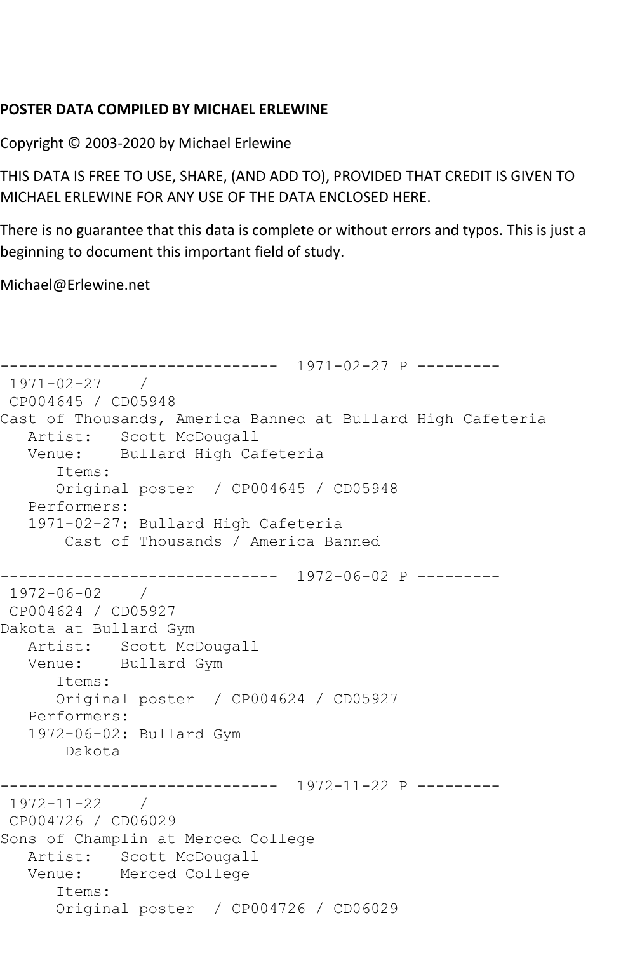## **POSTER DATA COMPILED BY MICHAEL ERLEWINE**

Copyright © 2003-2020 by Michael Erlewine

THIS DATA IS FREE TO USE, SHARE, (AND ADD TO), PROVIDED THAT CREDIT IS GIVEN TO MICHAEL ERLEWINE FOR ANY USE OF THE DATA ENCLOSED HERE.

There is no guarantee that this data is complete or without errors and typos. This is just a beginning to document this important field of study.

Michael@Erlewine.net

```
------------------------------ 1971-02-27 P ---------
1971-02-27 / 
CP004645 / CD05948
Cast of Thousands, America Banned at Bullard High Cafeteria
  Artist: Scott McDougall<br>Venue: Bullard High Ca
            Bullard High Cafeteria
       Items:
       Original poster / CP004645 / CD05948
    Performers:
    1971-02-27: Bullard High Cafeteria
        Cast of Thousands / America Banned
                   ------------------------------ 1972-06-02 P ---------
1972-06-02 / 
CP004624 / CD05927
Dakota at Bullard Gym
   Artist: Scott McDougall
    Venue: Bullard Gym
       Items:
       Original poster / CP004624 / CD05927
   Performers:
    1972-06-02: Bullard Gym
        Dakota
------------------------------ 1972-11-22 P ---------
1972-11-22 / 
CP004726 / CD06029
Sons of Champlin at Merced College
  Artist: Scott McDougall<br>Venue: Merced College
            Merced College
       Items:
       Original poster / CP004726 / CD06029
```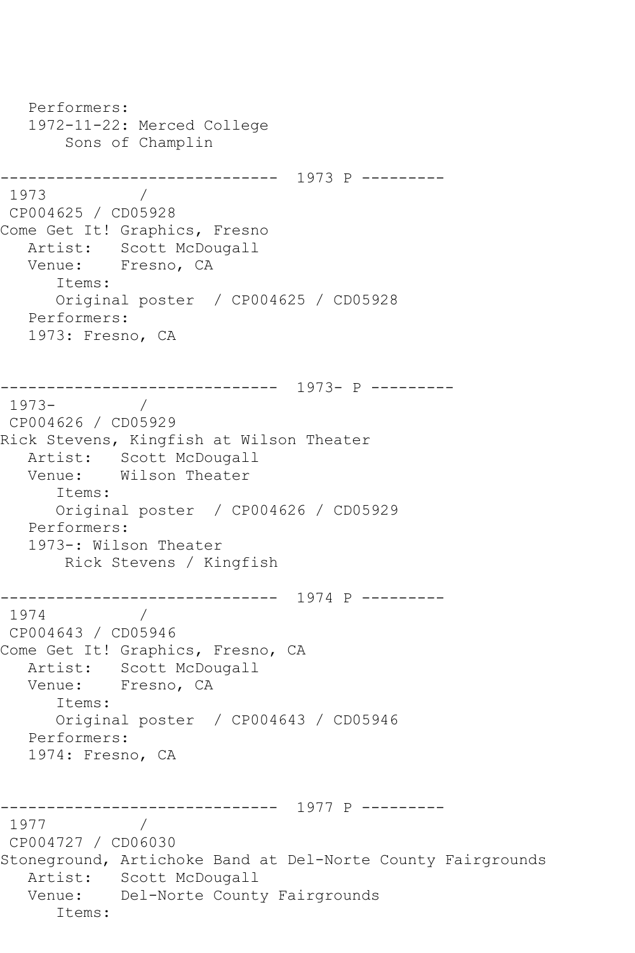```
 Performers:
   1972-11-22: Merced College
       Sons of Champlin
------------------------------ 1973 P ---------
1973 / 
CP004625 / CD05928
Come Get It! Graphics, Fresno
   Artist: Scott McDougall
   Venue: Fresno, CA
       Items:
      Original poster / CP004625 / CD05928
   Performers:
   1973: Fresno, CA
              ------------------------------ 1973- P ---------
1973- / 
CP004626 / CD05929
Rick Stevens, Kingfish at Wilson Theater
   Artist: Scott McDougall
   Venue: Wilson Theater
      Items:
      Original poster / CP004626 / CD05929
   Performers:
   1973-: Wilson Theater
       Rick Stevens / Kingfish
------------------------------ 1974 P ---------
1974 / 
CP004643 / CD05946
Come Get It! Graphics, Fresno, CA
   Artist: Scott McDougall
   Venue: Fresno, CA
       Items:
      Original poster / CP004643 / CD05946
   Performers:
   1974: Fresno, CA
      ------------------------------ 1977 P ---------
1977
CP004727 / CD06030
Stoneground, Artichoke Band at Del-Norte County Fairgrounds
   Artist: Scott McDougall
   Venue: Del-Norte County Fairgrounds
       Items:
```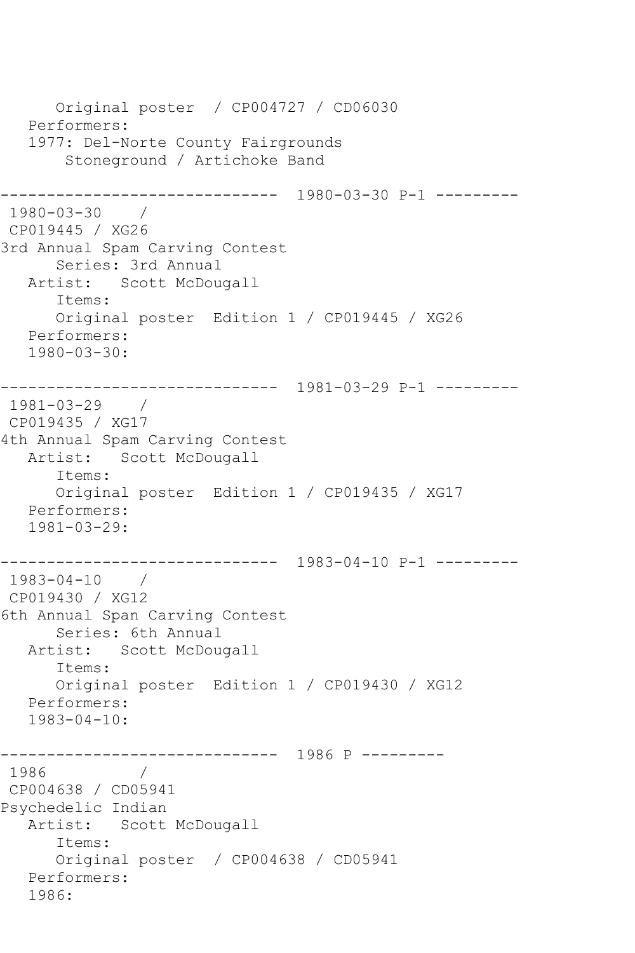```
 Original poster / CP004727 / CD06030
    Performers:
    1977: Del-Norte County Fairgrounds
        Stoneground / Artichoke Band
                  ------------------------------ 1980-03-30 P-1 ---------
1980-03-30 / 
CP019445 / XG26
3rd Annual Spam Carving Contest
       Series: 3rd Annual
   Artist: Scott McDougall
       Items:
       Original poster Edition 1 / CP019445 / XG26
   Performers:
    1980-03-30:
               ------------------------------ 1981-03-29 P-1 ---------
1981-03-29 / 
CP019435 / XG17
4th Annual Spam Carving Contest
   Artist: Scott McDougall
       Items:
       Original poster Edition 1 / CP019435 / XG17
   Performers:
    1981-03-29:
------------------------------ 1983-04-10 P-1 ---------
1983-04-10 / 
CP019430 / XG12
6th Annual Span Carving Contest
       Series: 6th Annual
   Artist: Scott McDougall
       Items:
       Original poster Edition 1 / CP019430 / XG12
   Performers:
    1983-04-10:
       ------------------------------ 1986 P ---------
1986
CP004638 / CD05941
Psychedelic Indian
   Artist: Scott McDougall
       Items:
       Original poster / CP004638 / CD05941
    Performers:
    1986:
```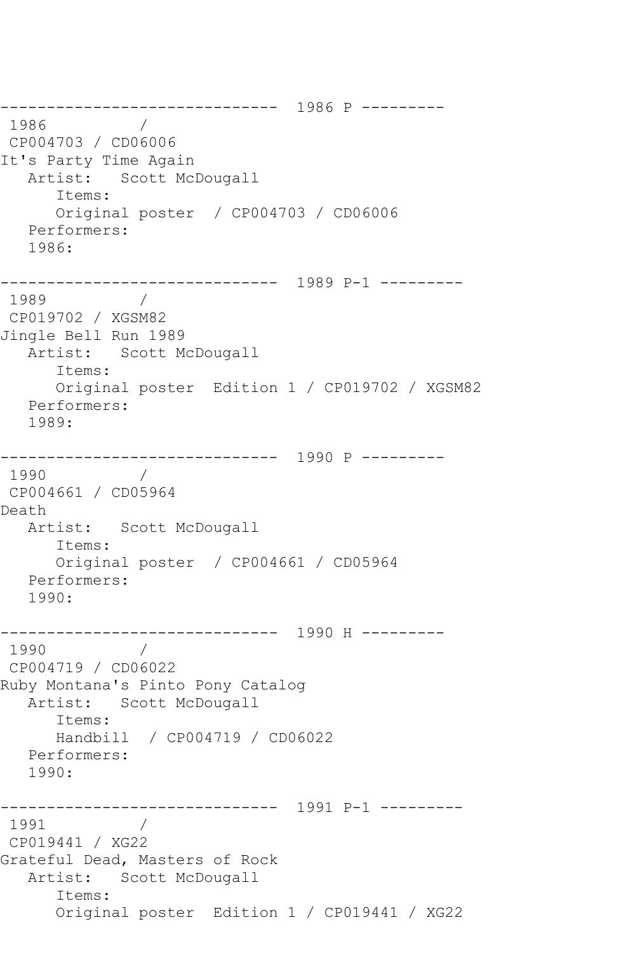------------------------------ 1986 P --------- 1986 CP004703 / CD06006 It's Party Time Again Artist: Scott McDougall Items: Original poster / CP004703 / CD06006 Performers: 1986: ------------------------------ 1989 P-1 --------- 1989 / CP019702 / XGSM82 Jingle Bell Run 1989 Artist: Scott McDougall Items: Original poster Edition 1 / CP019702 / XGSM82 Performers: 1989: ------------------------------ 1990 P --------- 1990 / CP004661 / CD05964 Death Artist: Scott McDougall Items: Original poster / CP004661 / CD05964 Performers: 1990: ------------------------------ 1990 H --------- 1990 / CP004719 / CD06022 Ruby Montana's Pinto Pony Catalog Artist: Scott McDougall Items: Handbill / CP004719 / CD06022 Performers: 1990: ------------------------------ 1991 P-1 ---------  $\frac{1}{2}$ CP019441 / XG22 Grateful Dead, Masters of Rock Artist: Scott McDougall Items: Original poster Edition 1 / CP019441 / XG22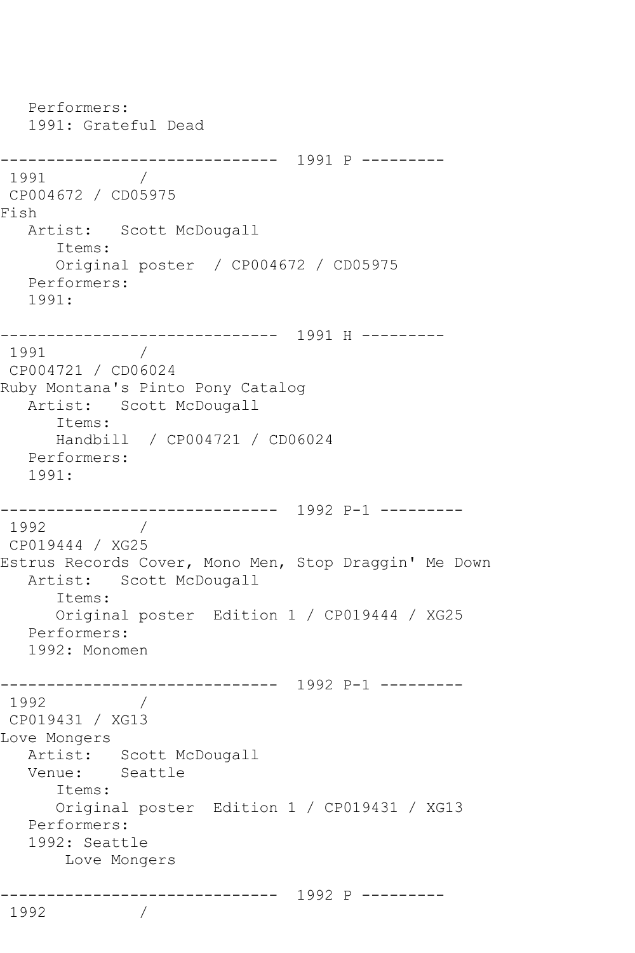```
 Performers:
   1991: Grateful Dead
------------------------------ 1991 P ---------
1991 / 
CP004672 / CD05975
Fish
   Artist: Scott McDougall
      Items:
      Original poster / CP004672 / CD05975
   Performers:
   1991:
------------------------------ 1991 H ---------
1991
CP004721 / CD06024
Ruby Montana's Pinto Pony Catalog
   Artist: Scott McDougall
      Items:
      Handbill / CP004721 / CD06024
   Performers:
   1991:
------------------------------ 1992 P-1 ---------
1992 / 
CP019444 / XG25
Estrus Records Cover, Mono Men, Stop Draggin' Me Down
   Artist: Scott McDougall
      Items:
      Original poster Edition 1 / CP019444 / XG25
   Performers:
   1992: Monomen
------------------------------ 1992 P-1 ---------
1992 / 
CP019431 / XG13
Love Mongers
   Artist: Scott McDougall
   Venue: Seattle
      Items:
      Original poster Edition 1 / CP019431 / XG13
   Performers:
   1992: Seattle
       Love Mongers
   ------------------------------ 1992 P ---------
1992
```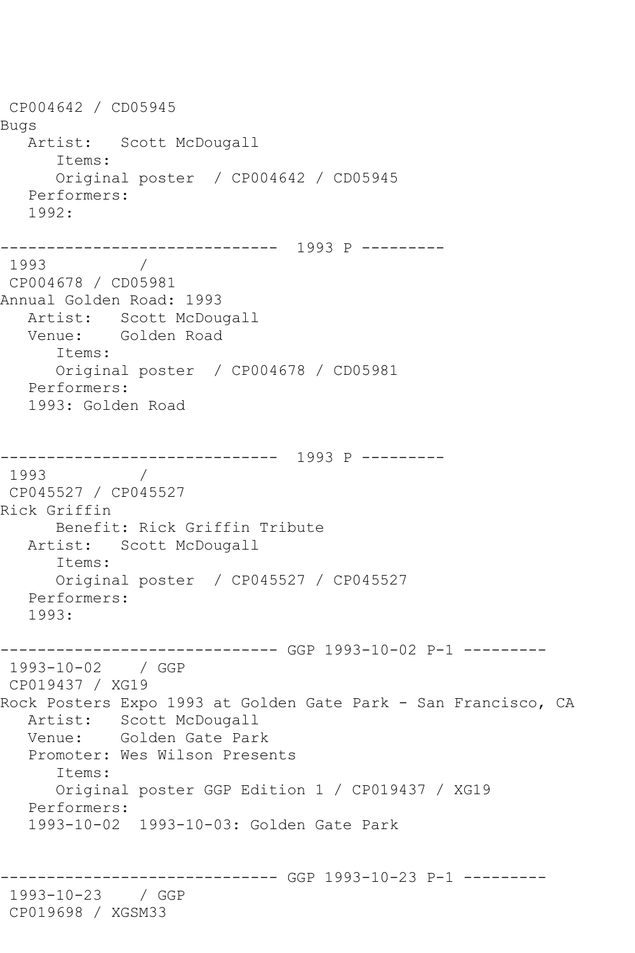CP004642 / CD05945 Bugs Artist: Scott McDougall Items: Original poster / CP004642 / CD05945 Performers: 1992: ------------------------------ 1993 P ---------  $\frac{1}{2}$ CP004678 / CD05981 Annual Golden Road: 1993 Artist: Scott McDougall Venue: Golden Road Items: Original poster / CP004678 / CD05981 Performers: 1993: Golden Road ------------------------------ 1993 P --------- 1993 / CP045527 / CP045527 Rick Griffin Benefit: Rick Griffin Tribute Artist: Scott McDougall Items: Original poster / CP045527 / CP045527 Performers: 1993: ------------------------------ GGP 1993-10-02 P-1 --------- 1993-10-02 / GGP CP019437 / XG19 Rock Posters Expo 1993 at Golden Gate Park - San Francisco, CA Artist: Scott McDougall Venue: Golden Gate Park Promoter: Wes Wilson Presents Items: Original poster GGP Edition 1 / CP019437 / XG19 Performers: 1993-10-02 1993-10-03: Golden Gate Park ------------------------------ GGP 1993-10-23 P-1 --------- 1993-10-23 / GGP CP019698 / XGSM33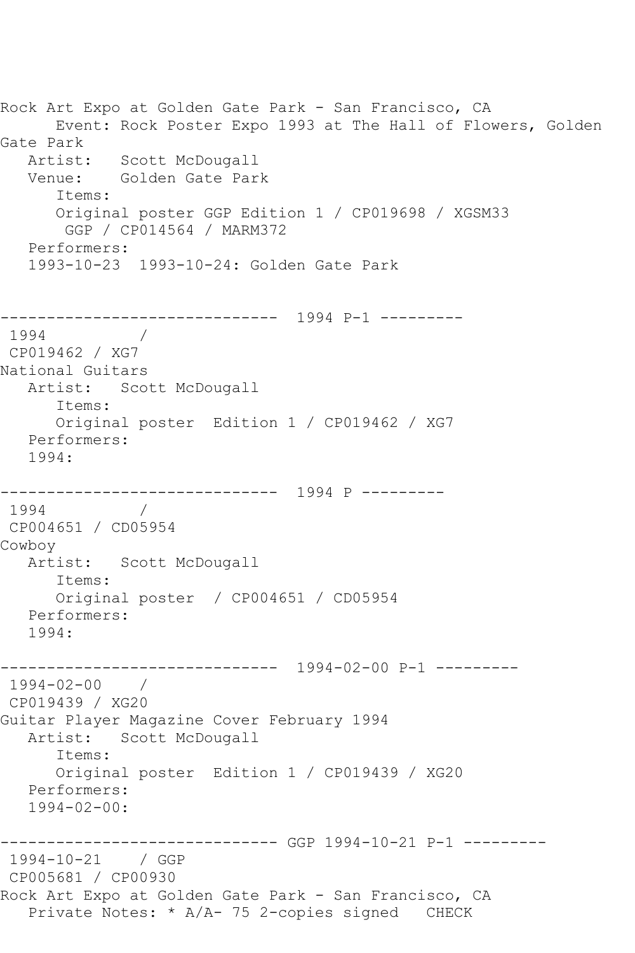```
Rock Art Expo at Golden Gate Park - San Francisco, CA
      Event: Rock Poster Expo 1993 at The Hall of Flowers, Golden 
Gate Park
   Artist: Scott McDougall
   Venue: Golden Gate Park
      Items:
      Original poster GGP Edition 1 / CP019698 / XGSM33
       GGP / CP014564 / MARM372
   Performers:
   1993-10-23 1993-10-24: Golden Gate Park
     ------------------------------ 1994 P-1 ---------
1994 / 
CP019462 / XG7
National Guitars
  Artist: Scott McDougall
      Items:
      Original poster Edition 1 / CP019462 / XG7
   Performers:
   1994:
------------------------------ 1994 P ---------
1994 / 
CP004651 / CD05954
Cowboy
   Artist: Scott McDougall
      Items:
      Original poster / CP004651 / CD05954
   Performers:
   1994:
------------------------------ 1994-02-00 P-1 ---------
1994-02-00 / 
CP019439 / XG20
Guitar Player Magazine Cover February 1994
   Artist: Scott McDougall
      Items:
      Original poster Edition 1 / CP019439 / XG20
   Performers:
  1994 - 02 - 00------------------------------ GGP 1994-10-21 P-1 ---------
1994-10-21 / GGP 
CP005681 / CP00930
Rock Art Expo at Golden Gate Park - San Francisco, CA
   Private Notes: * A/A- 75 2-copies signed CHECK
```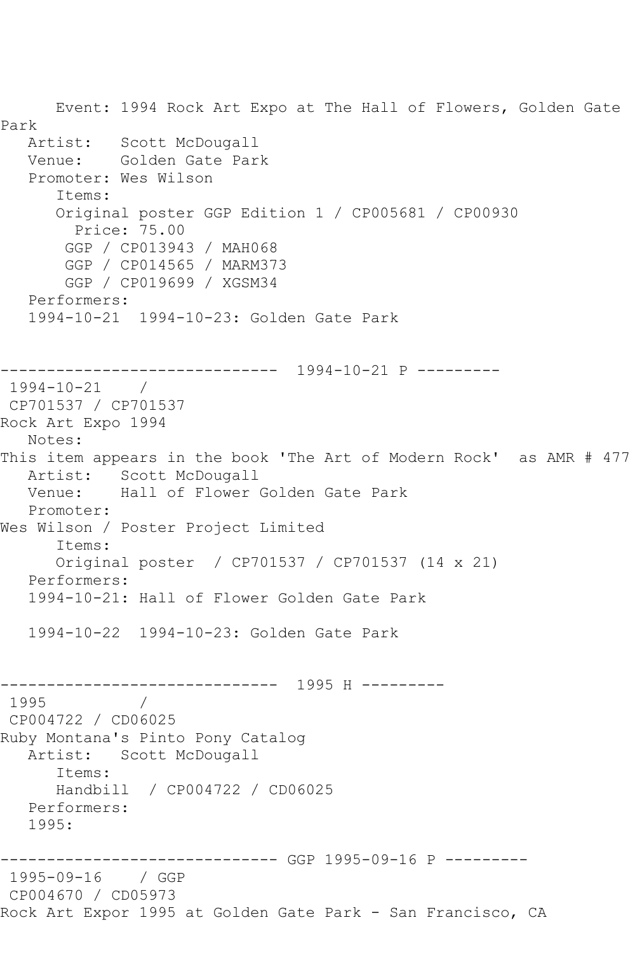Event: 1994 Rock Art Expo at The Hall of Flowers, Golden Gate Park<br>Artist: Scott McDougall Venue: Golden Gate Park Promoter: Wes Wilson Items: Original poster GGP Edition 1 / CP005681 / CP00930 Price: 75.00 GGP / CP013943 / MAH068 GGP / CP014565 / MARM373 GGP / CP019699 / XGSM34 Performers: 1994-10-21 1994-10-23: Golden Gate Park ------------------------------ 1994-10-21 P --------- 1994-10-21 / CP701537 / CP701537 Rock Art Expo 1994 Notes: This item appears in the book 'The Art of Modern Rock' as AMR # 477 Artist: Scott McDougall<br>Venue: Hall of Flower Hall of Flower Golden Gate Park Promoter: Wes Wilson / Poster Project Limited Items: Original poster / CP701537 / CP701537 (14 x 21) Performers: 1994-10-21: Hall of Flower Golden Gate Park 1994-10-22 1994-10-23: Golden Gate Park ------------------------------ 1995 H --------- 1995 / CP004722 / CD06025 Ruby Montana's Pinto Pony Catalog Artist: Scott McDougall Items: Handbill / CP004722 / CD06025 Performers: 1995: ------------------------------ GGP 1995-09-16 P --------- 1995-09-16 / GGP CP004670 / CD05973 Rock Art Expor 1995 at Golden Gate Park - San Francisco, CA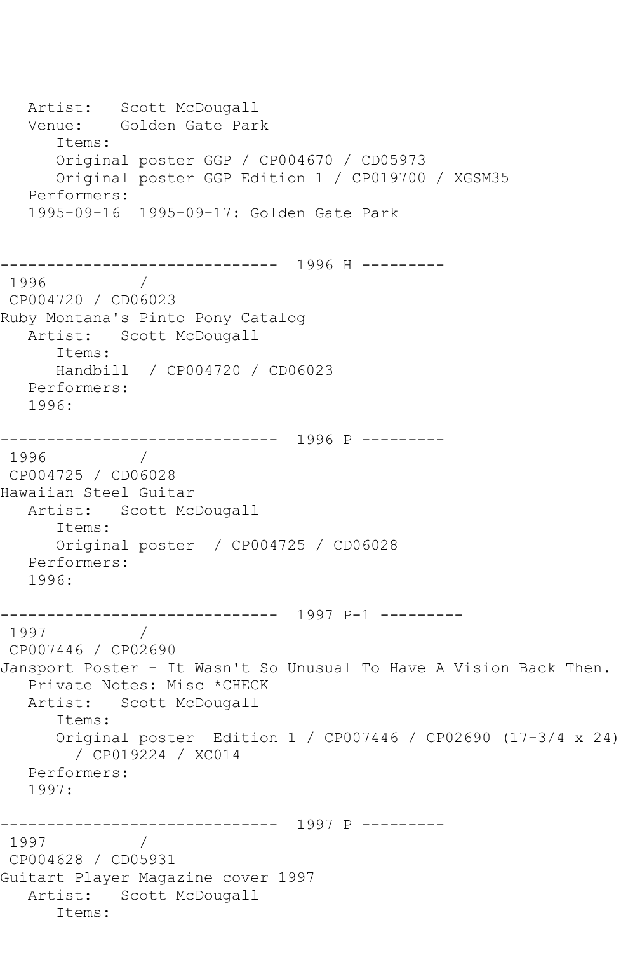Artist: Scott McDougall Venue: Golden Gate Park Items: Original poster GGP / CP004670 / CD05973 Original poster GGP Edition 1 / CP019700 / XGSM35 Performers: 1995-09-16 1995-09-17: Golden Gate Park ------------------------------ 1996 H --------- 1996 CP004720 / CD06023 Ruby Montana's Pinto Pony Catalog Artist: Scott McDougall Items: Handbill / CP004720 / CD06023 Performers: 1996: ------------------------------ 1996 P --------- 1996 CP004725 / CD06028 Hawaiian Steel Guitar Artist: Scott McDougall Items: Original poster / CP004725 / CD06028 Performers: 1996: ------------------------------ 1997 P-1 --------- 1997 CP007446 / CP02690 Jansport Poster - It Wasn't So Unusual To Have A Vision Back Then. Private Notes: Misc \*CHECK Artist: Scott McDougall Items: Original poster Edition 1 / CP007446 / CP02690 (17-3/4 x 24) / CP019224 / XC014 Performers: 1997: ------------------------------ 1997 P --------- 1997 / CP004628 / CD05931 Guitart Player Magazine cover 1997 Artist: Scott McDougall Items: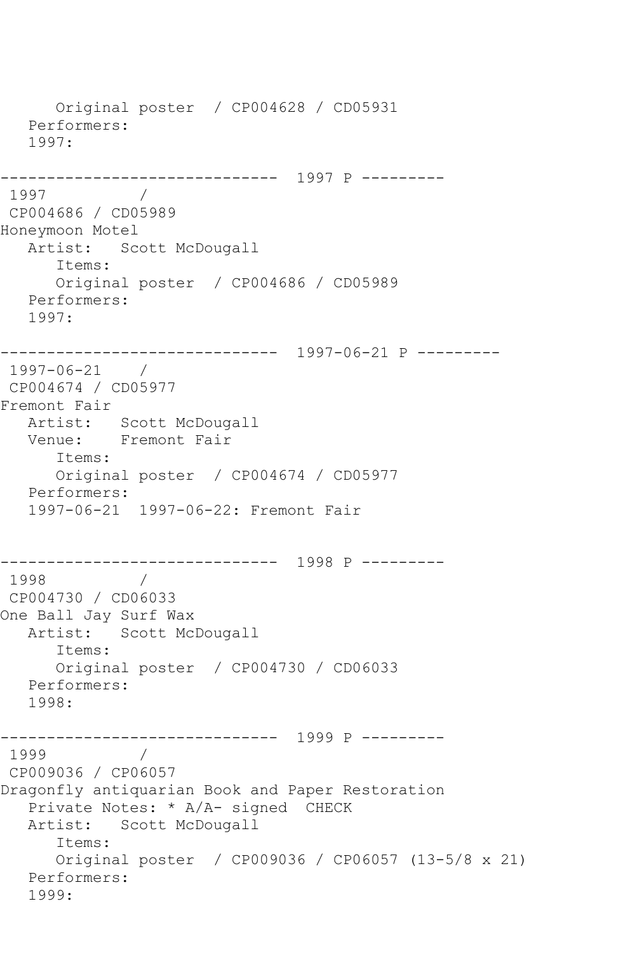Original poster / CP004628 / CD05931 Performers: 1997: ------------------------------ 1997 P --------- 1997 / CP004686 / CD05989 Honeymoon Motel Artist: Scott McDougall Items: Original poster / CP004686 / CD05989 Performers: 1997: ------------------------------ 1997-06-21 P --------- 1997-06-21 / CP004674 / CD05977 Fremont Fair Artist: Scott McDougall Venue: Fremont Fair Items: Original poster / CP004674 / CD05977 Performers: 1997-06-21 1997-06-22: Fremont Fair ------------------------------ 1998 P --------- 1998 / CP004730 / CD06033 One Ball Jay Surf Wax Artist: Scott McDougall Items: Original poster / CP004730 / CD06033 Performers: 1998: ------------------------------ 1999 P --------- 1999 / CP009036 / CP06057 Dragonfly antiquarian Book and Paper Restoration Private Notes: \* A/A- signed CHECK Artist: Scott McDougall Items: Original poster / CP009036 / CP06057 (13-5/8 x 21) Performers: 1999: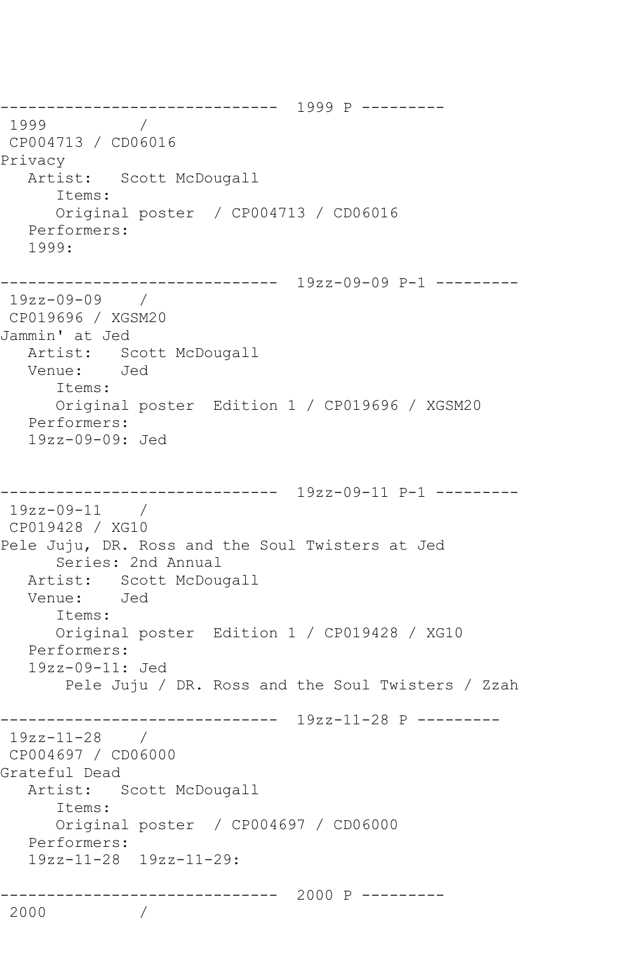------------------------------ 1999 P --------- 1999 CP004713 / CD06016 Privacy Artist: Scott McDougall Items: Original poster / CP004713 / CD06016 Performers: 1999: ------------------------------ 19zz-09-09 P-1 --------- 19zz-09-09 / CP019696 / XGSM20 Jammin' at Jed Artist: Scott McDougall Venue: Jed Items: Original poster Edition 1 / CP019696 / XGSM20 Performers: 19zz-09-09: Jed ------------------------------ 19zz-09-11 P-1 --------- 19zz-09-11 / CP019428 / XG10 Pele Juju, DR. Ross and the Soul Twisters at Jed Series: 2nd Annual Artist: Scott McDougall<br>Venue: Jed Venue: Items: Original poster Edition 1 / CP019428 / XG10 Performers: 19zz-09-11: Jed Pele Juju / DR. Ross and the Soul Twisters / Zzah ------------------------------ 19zz-11-28 P --------- 19zz-11-28 / CP004697 / CD06000 Grateful Dead Artist: Scott McDougall Items: Original poster / CP004697 / CD06000 Performers: 19zz-11-28 19zz-11-29: ------------------------------ 2000 P --------- 2000 /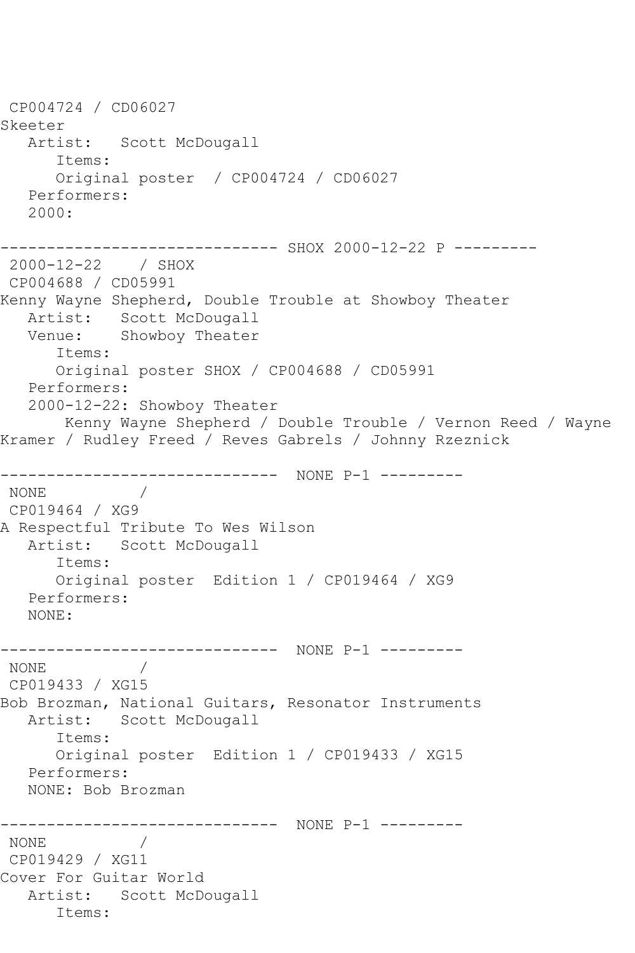```
CP004724 / CD06027
Skeeter
   Artist: Scott McDougall
      Items:
      Original poster / CP004724 / CD06027
   Performers:
   2000:
------------------------------ SHOX 2000-12-22 P ---------
2000-12-22 / SHOX 
CP004688 / CD05991
Kenny Wayne Shepherd, Double Trouble at Showboy Theater
   Artist: Scott McDougall
   Venue: Showboy Theater
      Items:
      Original poster SHOX / CP004688 / CD05991
   Performers:
   2000-12-22: Showboy Theater
       Kenny Wayne Shepherd / Double Trouble / Vernon Reed / Wayne 
Kramer / Rudley Freed / Reves Gabrels / Johnny Rzeznick
------------------------------ NONE P-1 ---------
NONE / 
CP019464 / XG9
A Respectful Tribute To Wes Wilson
   Artist: Scott McDougall
      Items:
      Original poster Edition 1 / CP019464 / XG9
   Performers:
   NONE:
------------------------------ NONE P-1 ---------
NONE / 
CP019433 / XG15
Bob Brozman, National Guitars, Resonator Instruments
   Artist: Scott McDougall
      Items:
      Original poster Edition 1 / CP019433 / XG15
   Performers:
   NONE: Bob Brozman
------------------------------ NONE P-1 ---------
NONE / 
CP019429 / XG11
Cover For Guitar World
   Artist: Scott McDougall
      Items:
```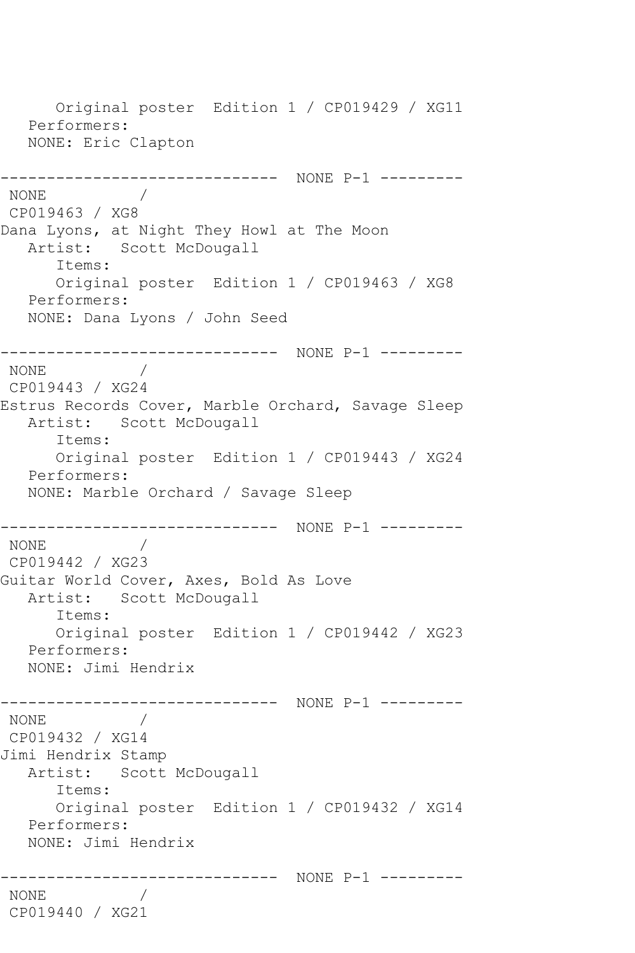Original poster Edition 1 / CP019429 / XG11 Performers: NONE: Eric Clapton ------------------------------ NONE P-1 --------- NONE / CP019463 / XG8 Dana Lyons, at Night They Howl at The Moon Artist: Scott McDougall Items: Original poster Edition 1 / CP019463 / XG8 Performers: NONE: Dana Lyons / John Seed ------------------------------ NONE P-1 --------- NONE / CP019443 / XG24 Estrus Records Cover, Marble Orchard, Savage Sleep Artist: Scott McDougall Items: Original poster Edition 1 / CP019443 / XG24 Performers: NONE: Marble Orchard / Savage Sleep ------------------------------ NONE P-1 --------- NONE / CP019442 / XG23 Guitar World Cover, Axes, Bold As Love Artist: Scott McDougall Items: Original poster Edition 1 / CP019442 / XG23 Performers: NONE: Jimi Hendrix ------------------------------ NONE P-1 --------- NONE / CP019432 / XG14 Jimi Hendrix Stamp Artist: Scott McDougall Items: Original poster Edition 1 / CP019432 / XG14 Performers: NONE: Jimi Hendrix ------------------------------ NONE P-1 --------- NONE / CP019440 / XG21